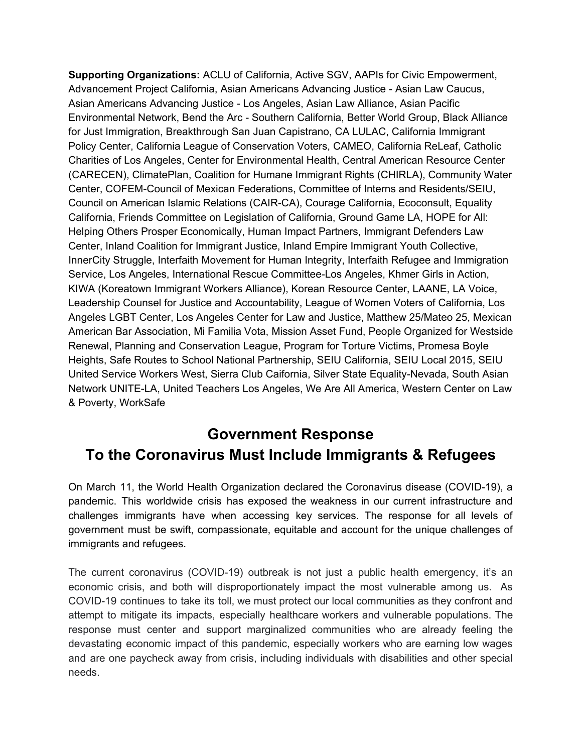**Supporting Organizations:** ACLU of California, Active SGV, AAPIs for Civic Empowerment, Advancement Project California, Asian Americans Advancing Justice - Asian Law Caucus, Asian Americans Advancing Justice - Los Angeles, Asian Law Alliance, Asian Pacific Environmental Network, Bend the Arc - Southern California, Better World Group, Black Alliance for Just Immigration, Breakthrough San Juan Capistrano, CA LULAC, California Immigrant Policy Center, California League of Conservation Voters, CAMEO, California ReLeaf, Catholic Charities of Los Angeles, Center for Environmental Health, Central American Resource Center (CARECEN), ClimatePlan, Coalition for Humane Immigrant Rights (CHIRLA), Community Water Center, COFEM-Council of Mexican Federations, Committee of Interns and Residents/SEIU, Council on American Islamic Relations (CAIR-CA), Courage California, Ecoconsult, Equality California, Friends Committee on Legislation of California, Ground Game LA, HOPE for All: Helping Others Prosper Economically, Human Impact Partners, Immigrant Defenders Law Center, Inland Coalition for Immigrant Justice, Inland Empire Immigrant Youth Collective, InnerCity Struggle, Interfaith Movement for Human Integrity, Interfaith Refugee and Immigration Service, Los Angeles, International Rescue Committee-Los Angeles, Khmer Girls in Action, KIWA (Koreatown Immigrant Workers Alliance), Korean Resource Center, LAANE, LA Voice, Leadership Counsel for Justice and Accountability, League of Women Voters of California, Los Angeles LGBT Center, Los Angeles Center for Law and Justice, Matthew 25/Mateo 25, Mexican American Bar Association, Mi Familia Vota, Mission Asset Fund, People Organized for Westside Renewal, Planning and Conservation League, Program for Torture Victims, Promesa Boyle Heights, Safe Routes to School National Partnership, SEIU California, SEIU Local 2015, SEIU United Service Workers West, Sierra Club Caifornia, Silver State Equality-Nevada, South Asian Network UNITE-LA, United Teachers Los Angeles, We Are All America, Western Center on Law & Poverty, WorkSafe

## **Government Response To the Coronavirus Must Include Immigrants & Refugees**

On March 11, the World Health Organization declared the Coronavirus disease (COVID-19), a pandemic. This worldwide crisis has exposed the weakness in our current infrastructure and challenges immigrants have when accessing key services. The response for all levels of government must be swift, compassionate, equitable and account for the unique challenges of immigrants and refugees.

The current coronavirus (COVID-19) outbreak is not just a public health emergency, it's an economic crisis, and both will disproportionately impact the most vulnerable among us. As COVID-19 continues to take its toll, we must protect our local communities as they confront and attempt to mitigate its impacts, especially healthcare workers and vulnerable populations. The response must center and support marginalized communities who are already feeling the devastating economic impact of this pandemic, especially workers who are earning low wages and are one paycheck away from crisis, including individuals with disabilities and other special needs.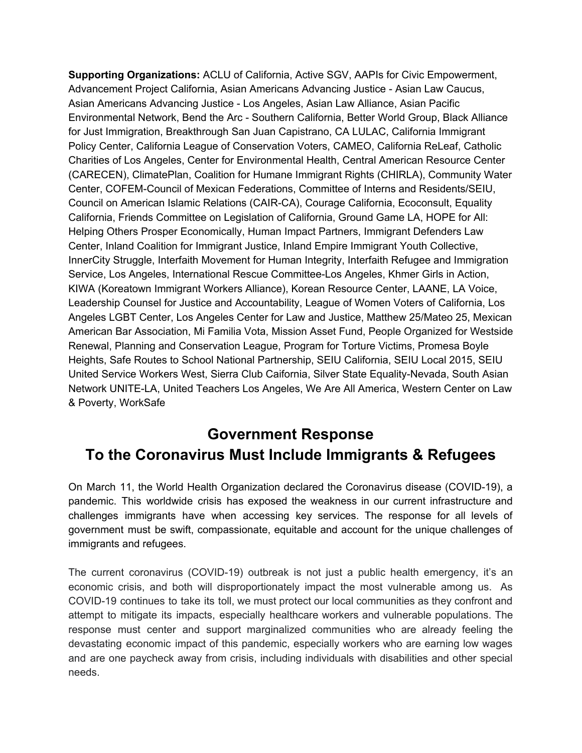Immigrants face particular challenges during this time because of lack of access to public services due to immigration restriction. Furthermore, language access is another barrier. There are over 200 languages spoken in our state, with little to no interpretation available for indigenous speaking communities like the Hmong, Zapotecs and Mixtecs. Mixed legal status is common in Immigrant households, which can hinder them from seeking assistance for fear of losing status or putting a family member at risk. Those that work may not be eligible for programs like disability or paid family leave. Trump's sustained attacks on immigrants, people of color and Muslim communities have exacerbated these fears and challenges.

The state of California has protected immigrants and has created a more welcoming environment for immigrants in recent years, thanks to grassroots organizing and power building across the state. However, COVID-19 has exposed large gaps in our country's health, economic and labor sectors. It is imperative that Los Angeles and California continue to lead the way to ensure equal justice for immigrants, particularly at a time of crisis.

The signatories to this letter, the Coalition for Humane Immigrant Rights (CHIRLA) align with a cross section of grassroots, professional, and community service organizations from across California are led by, and rooted in, our communities. We know all too well how these communities can be left out of preparation and recovery efforts. Therefore, we are requesting the following steps to ensure our communities are not left behind.

If you have any questions, contact Joseph Villela at *[jvillela@chirla.org.](mailto:jvillela@chirla.org)* 

## **Federal Government Response**

Ensure testing and treatment is culturally sensitive, free, and does not discriminate based on income, gender, nationality, disability, and citizenship.

Ensure services and emergency announcements are multilingual and culturally appropriate.

Any public and safety net assistance must also include immigrants independent of status.

Direct the Department of Homeland Security (DHS) to suspend immigration enforcement operations, including interior checkpoints near sensitive locations including hospitals, clinics and other healthcare facilities.

Public Charge rule must be immediately halted.

USCIS must extend indefinitely any deadlines associated with immigration applications, including but not limited to DACA.

Close all immigration courts, particularly the "tent courts" on the southern border.

End all targeted harassment of sanctuary jurisdictions.

Release all migrants from detention centers. Given the alarming rates of deaths while in custody as well as the lack of containment of a mumps epidemic in 2019, it is clear neither private nor federal facilities can handle a health crisis.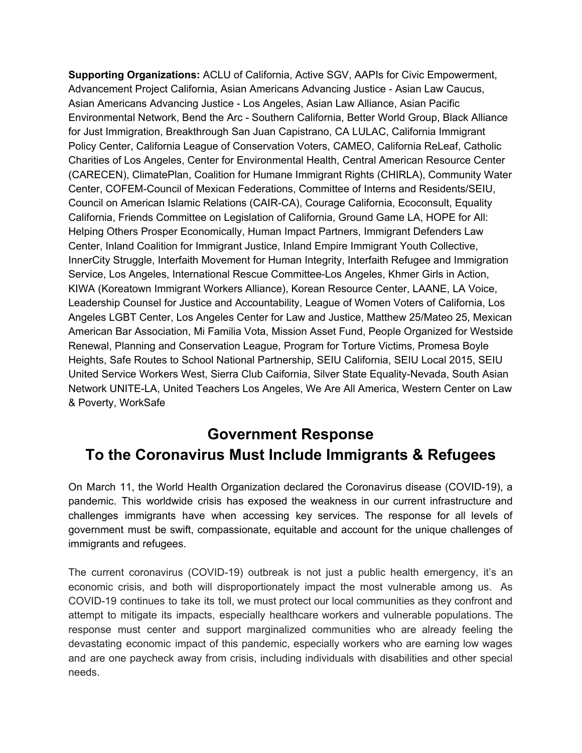U.S Secretary of Commerce must extend the response period of the U.S. Census.

Eliminate scapegoating and messages that promote xenophobia or blaming of ethnic and immigrant communities.

Outline a plan to work closely with the Governors of all States, especially those taking proactive measures to reach all communities regardless of immigration status.

Convene a bipartisan Task Force composed of elected officials at the state and local levels, distilling best practices to reach all communities irrespective of immigration status.

## **Golden State Response**

Ensure testing and treatment is culturally sensitive, free, and does not discriminate based on income, gender, nationality, disability, and citizenship.

Ensure services and emergency announcements are multilingual and culturally appropriate.

Create free mobile testing units to reach hard to reach communities.

Expand access to state funded programs for immigrants:

California Food Assistance Program (CFAP) must increase its current allocations to individuals and open it to parents, or caretakers, who are undocumented for at least 6 months;

Cash Assistance for Immigrant Program (CAPI) must provide assistance to undocumented elderly for at least 6 months.

Immediately include immigrant tax filers who file with an Individual Taxpayer Identification Number (ITIN) in the CalEITC and Young Child Tax Credit, retroactively for tax year 2019 and ongoing.

Ensure access to full scope Medi-Cal for elderly undocumented immigrants is expedited and implemented now to ensure elderly seniors have access to all services.

Provide resources for trusted messengers to reach out to immigrant communities to provide key information.

Provide and extend unemployment benefits for immigrants who are currently not eligible.

Ensure non-traditional workers such as domestic workers are afforded with labor protections.

Enhance worker protections to all workers to ensure that vulnerable workers are not penalized for their care or of their families.

Provide emergency funding to local and regional governments, school districts, and non-profit organizations.

Work with local and regional governments to ensure that communities across California receive the help they need.

## **Local Response: Los Angeles County, Municipalities and School Districts**

Conduct targeted outreach by the Office of Immigrant Affairs to provide updated information to the immigrant community.